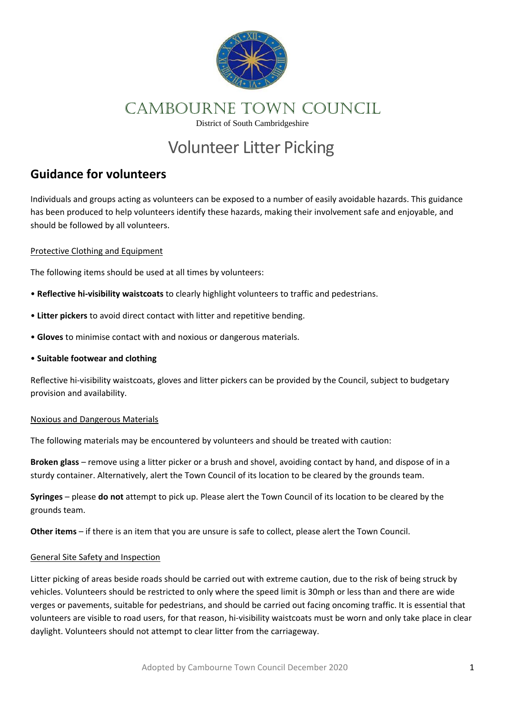

## CAMBOURNE town COUNCIL

District of South Cambridgeshire

# Volunteer Litter Picking

### **Guidance for volunteers**

Individuals and groups acting as volunteers can be exposed to a number of easily avoidable hazards. This guidance has been produced to help volunteers identify these hazards, making their involvement safe and enjoyable, and should be followed by all volunteers.

#### Protective Clothing and Equipment

The following items should be used at all times by volunteers:

- **Reflective hi-visibility waistcoats** to clearly highlight volunteers to traffic and pedestrians.
- **Litter pickers** to avoid direct contact with litter and repetitive bending.
- **Gloves** to minimise contact with and noxious or dangerous materials.
- **Suitable footwear and clothing**

Reflective hi-visibility waistcoats, gloves and litter pickers can be provided by the Council, subject to budgetary provision and availability.

#### Noxious and Dangerous Materials

The following materials may be encountered by volunteers and should be treated with caution:

**Broken glass** – remove using a litter picker or a brush and shovel, avoiding contact by hand, and dispose of in a sturdy container. Alternatively, alert the Town Council of its location to be cleared by the grounds team.

**Syringes** – please **do not** attempt to pick up. Please alert the Town Council of its location to be cleared by the grounds team.

**Other items** – if there is an item that you are unsure is safe to collect, please alert the Town Council.

#### General Site Safety and Inspection

Litter picking of areas beside roads should be carried out with extreme caution, due to the risk of being struck by vehicles. Volunteers should be restricted to only where the speed limit is 30mph or less than and there are wide verges or pavements, suitable for pedestrians, and should be carried out facing oncoming traffic. It is essential that volunteers are visible to road users, for that reason, hi-visibility waistcoats must be worn and only take place in clear daylight. Volunteers should not attempt to clear litter from the carriageway.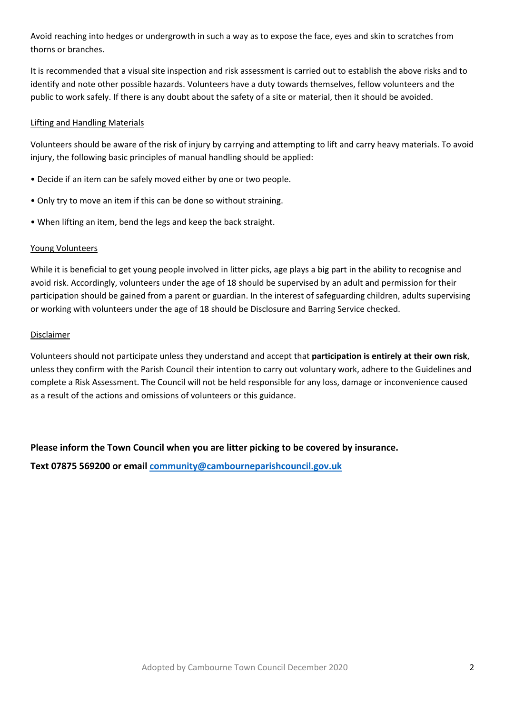Avoid reaching into hedges or undergrowth in such a way as to expose the face, eyes and skin to scratches from thorns or branches.

It is recommended that a visual site inspection and risk assessment is carried out to establish the above risks and to identify and note other possible hazards. Volunteers have a duty towards themselves, fellow volunteers and the public to work safely. If there is any doubt about the safety of a site or material, then it should be avoided.

#### Lifting and Handling Materials

Volunteers should be aware of the risk of injury by carrying and attempting to lift and carry heavy materials. To avoid injury, the following basic principles of manual handling should be applied:

- Decide if an item can be safely moved either by one or two people.
- Only try to move an item if this can be done so without straining.
- When lifting an item, bend the legs and keep the back straight.

#### Young Volunteers

While it is beneficial to get young people involved in litter picks, age plays a big part in the ability to recognise and avoid risk. Accordingly, volunteers under the age of 18 should be supervised by an adult and permission for their participation should be gained from a parent or guardian. In the interest of safeguarding children, adults supervising or working with volunteers under the age of 18 should be Disclosure and Barring Service checked.

#### Disclaimer

Volunteers should not participate unless they understand and accept that **participation is entirely at their own risk**, unless they confirm with the Parish Council their intention to carry out voluntary work, adhere to the Guidelines and complete a Risk Assessment. The Council will not be held responsible for any loss, damage or inconvenience caused as a result of the actions and omissions of volunteers or this guidance.

#### **Please inform the Town Council when you are litter picking to be covered by insurance.**

**Text 07875 569200 or email [community@cambourneparishcouncil.gov.uk](mailto:community@cambourneparishcouncil.gov.uk)**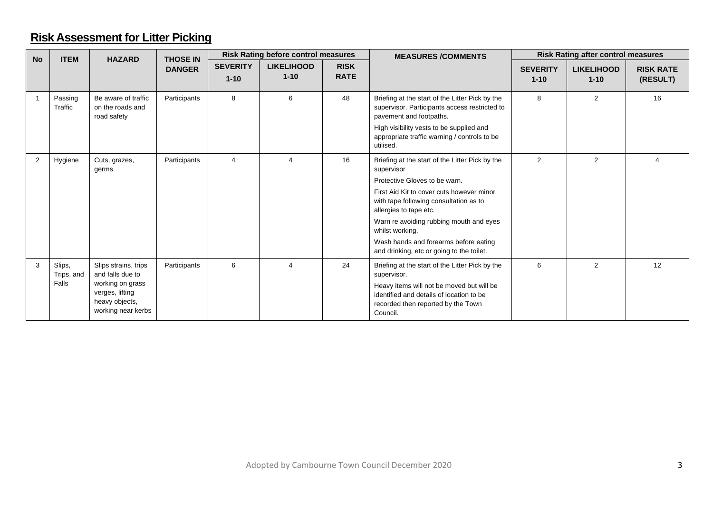### **Risk Assessment for Litter Picking**

| <b>No</b> | <b>ITEM</b>                   | <b>HAZARD</b>                                                                                                           | <b>THOSE IN</b> | <b>Risk Rating before control measures</b> |                               |                            | <b>MEASURES/COMMENTS</b>                                                                                                                                                                                                                                                                                                                                            | <b>Risk Rating after control measures</b> |                               |                              |
|-----------|-------------------------------|-------------------------------------------------------------------------------------------------------------------------|-----------------|--------------------------------------------|-------------------------------|----------------------------|---------------------------------------------------------------------------------------------------------------------------------------------------------------------------------------------------------------------------------------------------------------------------------------------------------------------------------------------------------------------|-------------------------------------------|-------------------------------|------------------------------|
|           |                               |                                                                                                                         | <b>DANGER</b>   | <b>SEVERITY</b><br>$1 - 10$                | <b>LIKELIHOOD</b><br>$1 - 10$ | <b>RISK</b><br><b>RATE</b> |                                                                                                                                                                                                                                                                                                                                                                     | <b>SEVERITY</b><br>$1 - 10$               | <b>LIKELIHOOD</b><br>$1 - 10$ | <b>RISK RATE</b><br>(RESULT) |
|           | Passing<br>Traffic            | Be aware of traffic<br>on the roads and<br>road safety                                                                  | Participants    | 8                                          | 6                             | 48                         | Briefing at the start of the Litter Pick by the<br>supervisor. Participants access restricted to<br>pavement and footpaths.<br>High visibility vests to be supplied and<br>appropriate traffic warning / controls to be<br>utilised.                                                                                                                                | 8                                         | 2                             | 16                           |
| 2         | Hygiene                       | Cuts, grazes,<br>germs                                                                                                  | Participants    | $\overline{4}$                             | $\boldsymbol{\Delta}$         | 16                         | Briefing at the start of the Litter Pick by the<br>supervisor<br>Protective Gloves to be warn.<br>First Aid Kit to cover cuts however minor<br>with tape following consultation as to<br>allergies to tape etc.<br>Warn re avoiding rubbing mouth and eyes<br>whilst working.<br>Wash hands and forearms before eating<br>and drinking, etc or going to the toilet. | 2                                         | 2                             | $\Delta$                     |
| 3         | Slips,<br>Trips, and<br>Falls | Slips strains, trips<br>and falls due to<br>working on grass<br>verges, lifting<br>heavy objects,<br>working near kerbs | Participants    | 6                                          | $\boldsymbol{\Delta}$         | 24                         | Briefing at the start of the Litter Pick by the<br>supervisor.<br>Heavy items will not be moved but will be<br>identified and details of location to be<br>recorded then reported by the Town<br>Council.                                                                                                                                                           | 6                                         | $\overline{2}$                | 12                           |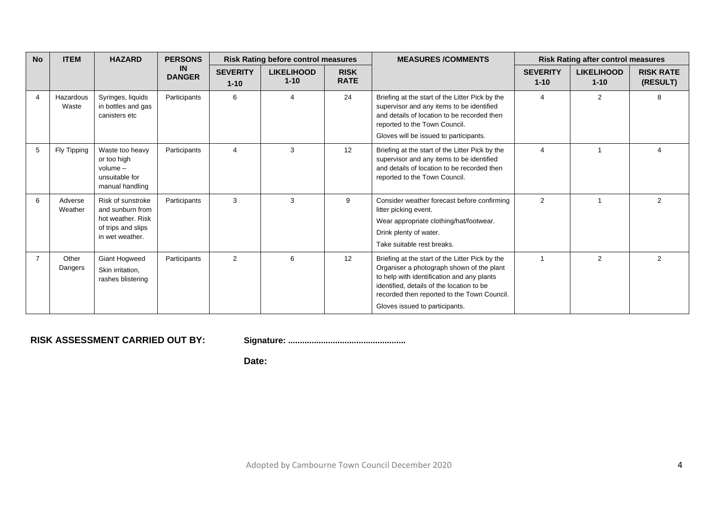| <b>No</b> | <b>ITEM</b>        | <b>HAZARD</b>                                                                                       | <b>PERSONS</b><br><b>Risk Rating before control measures</b> |                             | <b>MEASURES /COMMENTS</b>     | <b>Risk Rating after control measures</b> |                                                                                                                                                                                                                                                                          |                             |                               |                              |
|-----------|--------------------|-----------------------------------------------------------------------------------------------------|--------------------------------------------------------------|-----------------------------|-------------------------------|-------------------------------------------|--------------------------------------------------------------------------------------------------------------------------------------------------------------------------------------------------------------------------------------------------------------------------|-----------------------------|-------------------------------|------------------------------|
|           |                    |                                                                                                     | <b>IN</b><br><b>DANGER</b>                                   | <b>SEVERITY</b><br>$1 - 10$ | <b>LIKELIHOOD</b><br>$1 - 10$ | <b>RISK</b><br><b>RATE</b>                |                                                                                                                                                                                                                                                                          | <b>SEVERITY</b><br>$1 - 10$ | <b>LIKELIHOOD</b><br>$1 - 10$ | <b>RISK RATE</b><br>(RESULT) |
| ⊿         | Hazardous<br>Waste | Syringes, liquids<br>in bottles and gas<br>canisters etc                                            | Participants                                                 | 6                           | $\overline{4}$                | 24                                        | Briefing at the start of the Litter Pick by the<br>supervisor and any items to be identified<br>and details of location to be recorded then<br>reported to the Town Council.<br>Gloves will be issued to participants.                                                   | 4                           | 2                             | 8                            |
| 5         | Fly Tipping        | Waste too heavy<br>or too high<br>$volume -$<br>unsuitable for<br>manual handling                   | Participants                                                 | 4                           | 3                             | 12                                        | Briefing at the start of the Litter Pick by the<br>supervisor and any items to be identified<br>and details of location to be recorded then<br>reported to the Town Council.                                                                                             | 4                           | 1                             | Δ                            |
| 6         | Adverse<br>Weather | Risk of sunstroke<br>and sunburn from<br>hot weather. Risk<br>of trips and slips<br>in wet weather. | Participants                                                 | 3                           | 3                             | 9                                         | Consider weather forecast before confirming<br>litter picking event.<br>Wear appropriate clothing/hat/footwear.<br>Drink plenty of water.<br>Take suitable rest breaks.                                                                                                  | 2                           | 1                             | $\overline{2}$               |
|           | Other<br>Dangers   | <b>Giant Hogweed</b><br>Skin irritation,<br>rashes blistering                                       | Participants                                                 | $\overline{2}$              | 6                             | 12                                        | Briefing at the start of the Litter Pick by the<br>Organiser a photograph shown of the plant<br>to help with identification and any plants<br>identified, details of the location to be<br>recorded then reported to the Town Council.<br>Gloves issued to participants. |                             | $\overline{2}$                | $\overline{2}$               |

**RISK ASSESSMENT CARRIED OUT BY: Signature: ..................................................**

**Date:**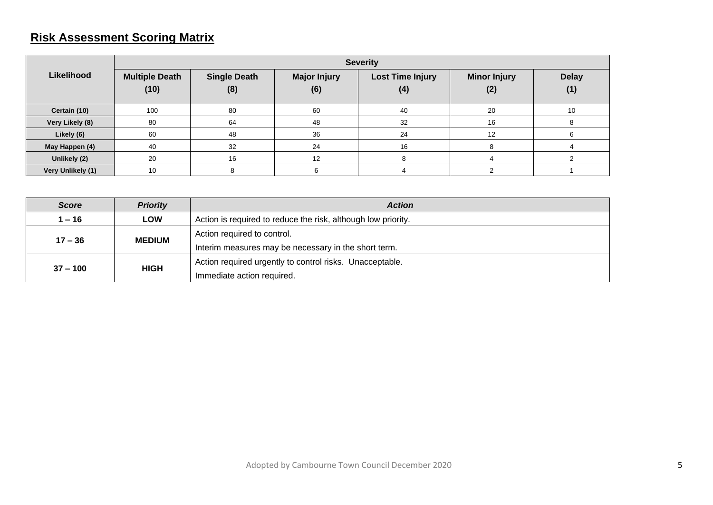### **Risk Assessment Scoring Matrix**

|                   | <b>Severity</b>               |                            |                            |                                |                            |                     |  |  |  |
|-------------------|-------------------------------|----------------------------|----------------------------|--------------------------------|----------------------------|---------------------|--|--|--|
| Likelihood        | <b>Multiple Death</b><br>(10) | <b>Single Death</b><br>(8) | <b>Major Injury</b><br>(6) | <b>Lost Time Injury</b><br>(4) | <b>Minor Injury</b><br>(2) | <b>Delay</b><br>(1) |  |  |  |
| Certain (10)      | 100                           | 80                         | 60                         | 40                             | 20                         | 10                  |  |  |  |
| Very Likely (8)   | 80                            | 64                         | 48                         | 32                             | 16                         |                     |  |  |  |
| Likely (6)        | 60                            | 48                         | 36                         | 24                             | 12                         |                     |  |  |  |
| May Happen (4)    | 40                            | 32                         | 24                         | 16                             | 8                          |                     |  |  |  |
| Unlikely (2)      | 20                            | 16                         | 12                         | 8                              |                            |                     |  |  |  |
| Very Unlikely (1) | 10                            | 8                          | 6                          | 4                              |                            |                     |  |  |  |

| <b>Priority</b><br><b>Score</b> |               | <b>Action</b>                                                 |  |  |  |
|---------------------------------|---------------|---------------------------------------------------------------|--|--|--|
| $1 - 16$                        | <b>LOW</b>    | Action is required to reduce the risk, although low priority. |  |  |  |
| $17 - 36$                       | <b>MEDIUM</b> | Action required to control.                                   |  |  |  |
|                                 |               | Interim measures may be necessary in the short term.          |  |  |  |
|                                 |               | Action required urgently to control risks. Unacceptable.      |  |  |  |
| $37 - 100$                      | <b>HIGH</b>   | Immediate action required.                                    |  |  |  |